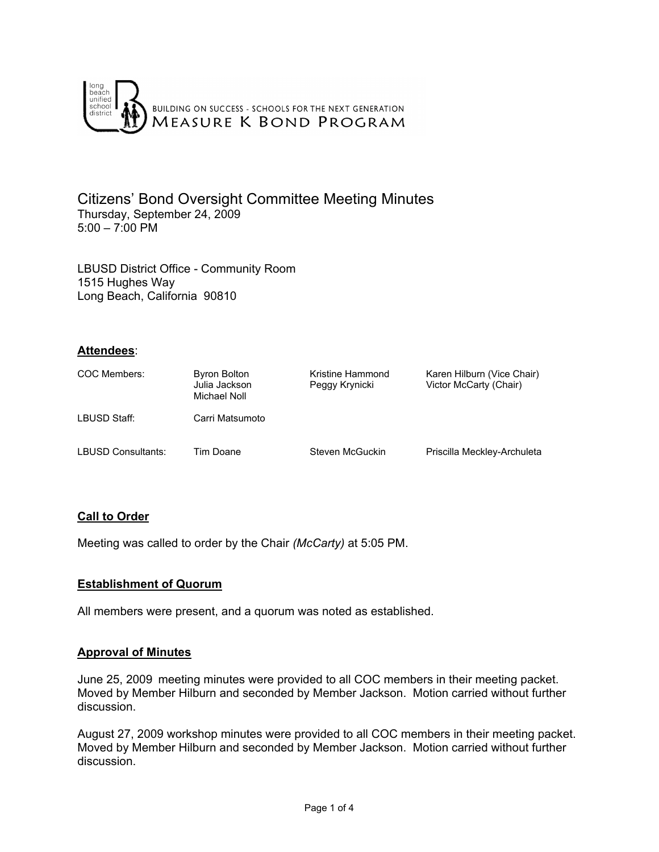

Citizens' Bond Oversight Committee Meeting Minutes Thursday, September 24, 2009 5:00 – 7:00 PM

LBUSD District Office - Community Room 1515 Hughes Way Long Beach, California 90810

## **Attendees**:

| COC Members:              | Byron Bolton<br>Julia Jackson<br>Michael Noll | Kristine Hammond<br>Peggy Krynicki | Karen Hilburn (Vice Chair)<br>Victor McCarty (Chair) |
|---------------------------|-----------------------------------------------|------------------------------------|------------------------------------------------------|
| LBUSD Staff:              | Carri Matsumoto                               |                                    |                                                      |
| <b>LBUSD Consultants:</b> | Tim Doane                                     | Steven McGuckin                    | Priscilla Meckley-Archuleta                          |

## **Call to Order**

Meeting was called to order by the Chair *(McCarty)* at 5:05 PM.

## **Establishment of Quorum**

All members were present, and a quorum was noted as established.

### **Approval of Minutes**

June 25, 2009 meeting minutes were provided to all COC members in their meeting packet. Moved by Member Hilburn and seconded by Member Jackson. Motion carried without further discussion.

August 27, 2009 workshop minutes were provided to all COC members in their meeting packet. Moved by Member Hilburn and seconded by Member Jackson. Motion carried without further discussion.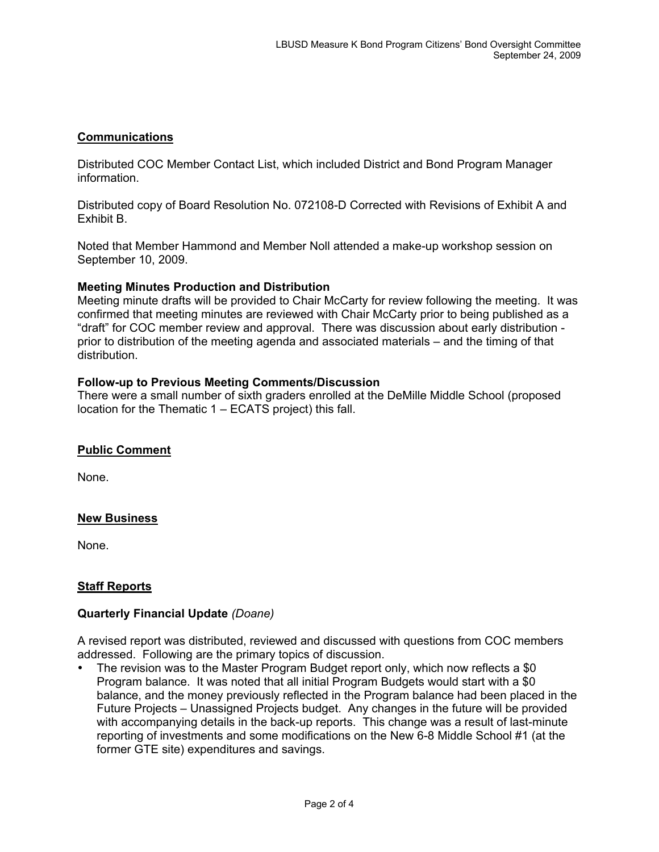## **Communications**

Distributed COC Member Contact List, which included District and Bond Program Manager information.

Distributed copy of Board Resolution No. 072108-D Corrected with Revisions of Exhibit A and Exhibit B.

Noted that Member Hammond and Member Noll attended a make-up workshop session on September 10, 2009.

### **Meeting Minutes Production and Distribution**

Meeting minute drafts will be provided to Chair McCarty for review following the meeting. It was confirmed that meeting minutes are reviewed with Chair McCarty prior to being published as a "draft" for COC member review and approval. There was discussion about early distribution prior to distribution of the meeting agenda and associated materials – and the timing of that distribution.

### **Follow-up to Previous Meeting Comments/Discussion**

There were a small number of sixth graders enrolled at the DeMille Middle School (proposed location for the Thematic 1 – ECATS project) this fall.

### **Public Comment**

None.

### **New Business**

None.

### **Staff Reports**

#### **Quarterly Financial Update** *(Doane)*

A revised report was distributed, reviewed and discussed with questions from COC members addressed. Following are the primary topics of discussion.

The revision was to the Master Program Budget report only, which now reflects a \$0 Program balance. It was noted that all initial Program Budgets would start with a \$0 balance, and the money previously reflected in the Program balance had been placed in the Future Projects – Unassigned Projects budget. Any changes in the future will be provided with accompanying details in the back-up reports. This change was a result of last-minute reporting of investments and some modifications on the New 6-8 Middle School #1 (at the former GTE site) expenditures and savings.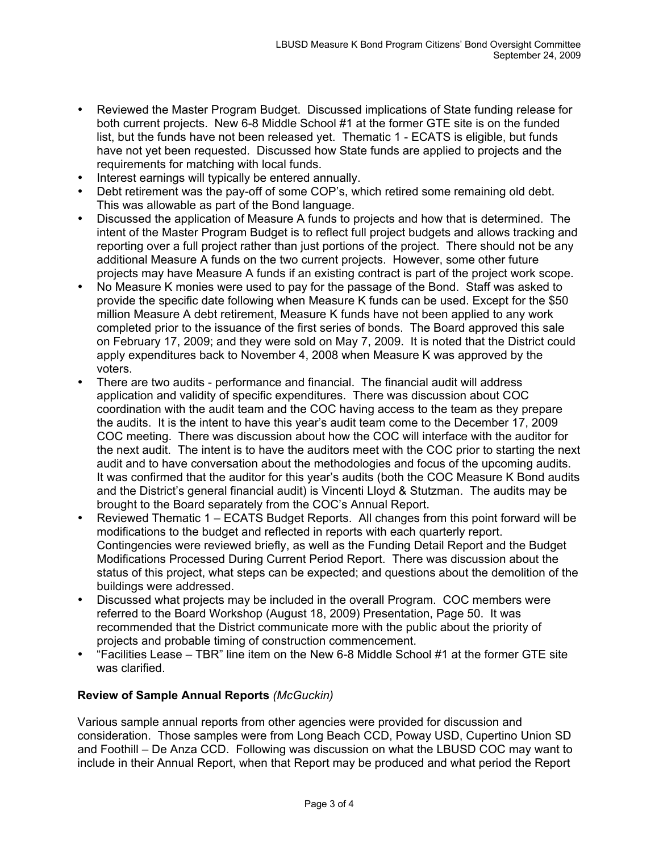- Reviewed the Master Program Budget. Discussed implications of State funding release for both current projects. New 6-8 Middle School #1 at the former GTE site is on the funded list, but the funds have not been released yet. Thematic 1 - ECATS is eligible, but funds have not yet been requested. Discussed how State funds are applied to projects and the requirements for matching with local funds.
- Interest earnings will typically be entered annually.
- Debt retirement was the pay-off of some COP's, which retired some remaining old debt. This was allowable as part of the Bond language.
- Discussed the application of Measure A funds to projects and how that is determined. The intent of the Master Program Budget is to reflect full project budgets and allows tracking and reporting over a full project rather than just portions of the project. There should not be any additional Measure A funds on the two current projects. However, some other future projects may have Measure A funds if an existing contract is part of the project work scope.
- No Measure K monies were used to pay for the passage of the Bond. Staff was asked to provide the specific date following when Measure K funds can be used. Except for the \$50 million Measure A debt retirement, Measure K funds have not been applied to any work completed prior to the issuance of the first series of bonds. The Board approved this sale on February 17, 2009; and they were sold on May 7, 2009. It is noted that the District could apply expenditures back to November 4, 2008 when Measure K was approved by the voters.
- There are two audits performance and financial. The financial audit will address application and validity of specific expenditures. There was discussion about COC coordination with the audit team and the COC having access to the team as they prepare the audits. It is the intent to have this year's audit team come to the December 17, 2009 COC meeting. There was discussion about how the COC will interface with the auditor for the next audit. The intent is to have the auditors meet with the COC prior to starting the next audit and to have conversation about the methodologies and focus of the upcoming audits. It was confirmed that the auditor for this year's audits (both the COC Measure K Bond audits and the District's general financial audit) is Vincenti Lloyd & Stutzman. The audits may be brought to the Board separately from the COC's Annual Report.
- Reviewed Thematic 1 ECATS Budget Reports. All changes from this point forward will be modifications to the budget and reflected in reports with each quarterly report. Contingencies were reviewed briefly, as well as the Funding Detail Report and the Budget Modifications Processed During Current Period Report. There was discussion about the status of this project, what steps can be expected; and questions about the demolition of the buildings were addressed.
- Discussed what projects may be included in the overall Program. COC members were referred to the Board Workshop (August 18, 2009) Presentation, Page 50. It was recommended that the District communicate more with the public about the priority of projects and probable timing of construction commencement.
- "Facilities Lease TBR" line item on the New 6-8 Middle School #1 at the former GTE site was clarified.

# **Review of Sample Annual Reports** *(McGuckin)*

Various sample annual reports from other agencies were provided for discussion and consideration. Those samples were from Long Beach CCD, Poway USD, Cupertino Union SD and Foothill – De Anza CCD. Following was discussion on what the LBUSD COC may want to include in their Annual Report, when that Report may be produced and what period the Report